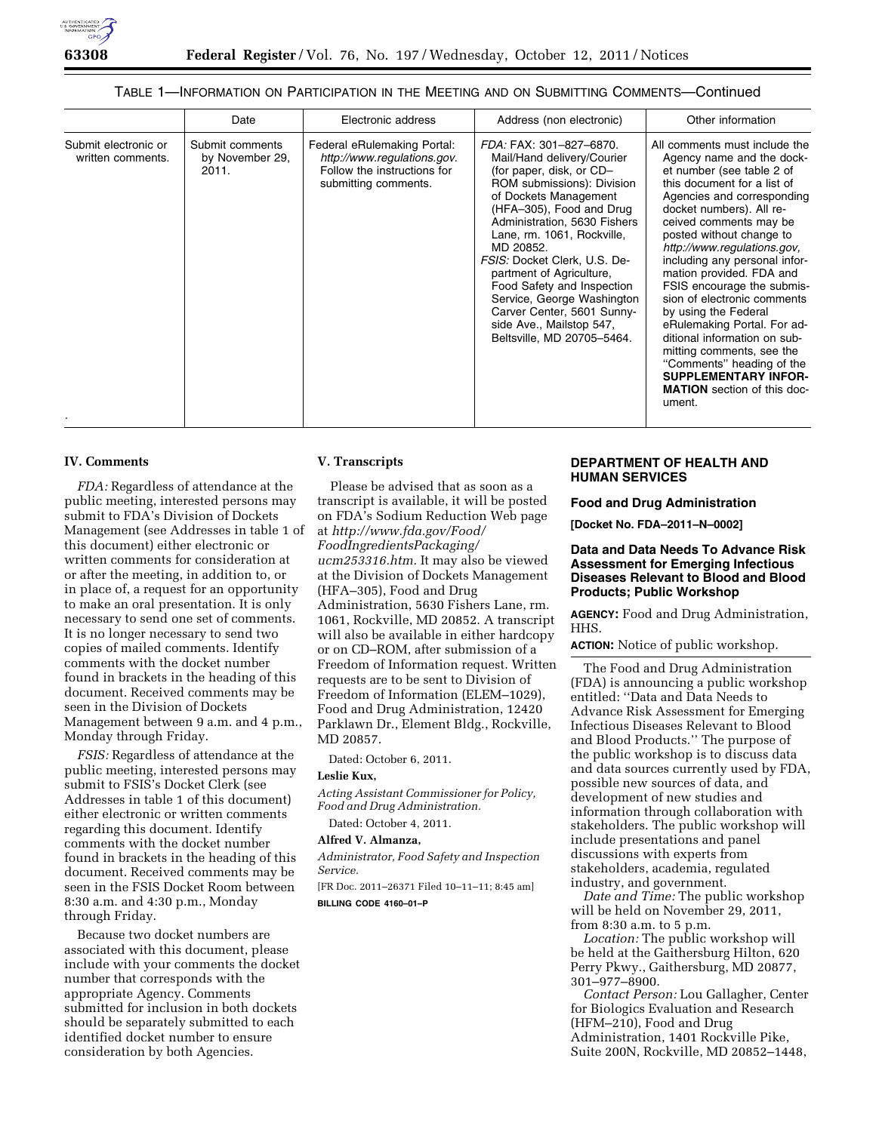#### TABLE 1—INFORMATION ON PARTICIPATION IN THE MEETING AND ON SUBMITTING COMMENTS—Continued

|                                           | Date                                        | Electronic address                                                                                                | Address (non electronic)                                                                                                                                                                                                                                                                                                                                                                                                                                        | Other information                                                                                                                                                                                                                                                                                                                                                                                                                                                                                                                                                                                                               |
|-------------------------------------------|---------------------------------------------|-------------------------------------------------------------------------------------------------------------------|-----------------------------------------------------------------------------------------------------------------------------------------------------------------------------------------------------------------------------------------------------------------------------------------------------------------------------------------------------------------------------------------------------------------------------------------------------------------|---------------------------------------------------------------------------------------------------------------------------------------------------------------------------------------------------------------------------------------------------------------------------------------------------------------------------------------------------------------------------------------------------------------------------------------------------------------------------------------------------------------------------------------------------------------------------------------------------------------------------------|
| Submit electronic or<br>written comments. | Submit comments<br>by November 29,<br>2011. | Federal eRulemaking Portal:<br>http://www.regulations.gov.<br>Follow the instructions for<br>submitting comments. | FDA: FAX: 301-827-6870.<br>Mail/Hand delivery/Courier<br>(for paper, disk, or CD-<br>ROM submissions): Division<br>of Dockets Management<br>(HFA-305), Food and Drug<br>Administration, 5630 Fishers<br>Lane, rm. 1061, Rockville,<br>MD 20852.<br>FSIS: Docket Clerk, U.S. De-<br>partment of Agriculture,<br>Food Safety and Inspection<br>Service, George Washington<br>Carver Center, 5601 Sunny-<br>side Ave., Mailstop 547,<br>Beltsville, MD 20705-5464. | All comments must include the<br>Agency name and the dock-<br>et number (see table 2 of<br>this document for a list of<br>Agencies and corresponding<br>docket numbers). All re-<br>ceived comments may be<br>posted without change to<br>http://www.regulations.gov.<br>including any personal infor-<br>mation provided. FDA and<br>FSIS encourage the submis-<br>sion of electronic comments<br>by using the Federal<br>eRulemaking Portal. For ad-<br>ditional information on sub-<br>mitting comments, see the<br>"Comments" heading of the<br><b>SUPPLEMENTARY INFOR-</b><br><b>MATION</b> section of this doc-<br>ument. |

#### **IV. Comments**

*FDA:* Regardless of attendance at the public meeting, interested persons may submit to FDA's Division of Dockets Management (see Addresses in table 1 of this document) either electronic or written comments for consideration at or after the meeting, in addition to, or in place of, a request for an opportunity to make an oral presentation. It is only necessary to send one set of comments. It is no longer necessary to send two copies of mailed comments. Identify comments with the docket number found in brackets in the heading of this document. Received comments may be seen in the Division of Dockets Management between 9 a.m. and 4 p.m., Monday through Friday.

*FSIS:* Regardless of attendance at the public meeting, interested persons may submit to FSIS's Docket Clerk (see Addresses in table 1 of this document) either electronic or written comments regarding this document. Identify comments with the docket number found in brackets in the heading of this document. Received comments may be seen in the FSIS Docket Room between 8:30 a.m. and 4:30 p.m., Monday through Friday.

Because two docket numbers are associated with this document, please include with your comments the docket number that corresponds with the appropriate Agency. Comments submitted for inclusion in both dockets should be separately submitted to each identified docket number to ensure consideration by both Agencies.

# **V. Transcripts**

Please be advised that as soon as a transcript is available, it will be posted on FDA's Sodium Reduction Web page at *[http://www.fda.gov/Food/](http://www.fda.gov/Food/FoodIngredientsPackaging/ucm253316.htm) [FoodIngredientsPackaging/](http://www.fda.gov/Food/FoodIngredientsPackaging/ucm253316.htm) [ucm253316.htm.](http://www.fda.gov/Food/FoodIngredientsPackaging/ucm253316.htm)* It may also be viewed at the Division of Dockets Management (HFA–305), Food and Drug Administration, 5630 Fishers Lane, rm. 1061, Rockville, MD 20852. A transcript will also be available in either hardcopy or on CD–ROM, after submission of a Freedom of Information request. Written requests are to be sent to Division of Freedom of Information (ELEM–1029), Food and Drug Administration, 12420 Parklawn Dr., Element Bldg., Rockville, MD 20857.

Dated: October 6, 2011.

#### **Leslie Kux,**

*Acting Assistant Commissioner for Policy, Food and Drug Administration.* 

Dated: October 4, 2011.

# **Alfred V. Almanza,**

*Administrator, Food Safety and Inspection Service.* 

[FR Doc. 2011–26371 Filed 10–11–11; 8:45 am] **BILLING CODE 4160–01–P** 

# **DEPARTMENT OF HEALTH AND HUMAN SERVICES**

#### **Food and Drug Administration**

**[Docket No. FDA–2011–N–0002]** 

#### **Data and Data Needs To Advance Risk Assessment for Emerging Infectious Diseases Relevant to Blood and Blood Products; Public Workshop**

**AGENCY:** Food and Drug Administration, HHS.

**ACTION:** Notice of public workshop.

The Food and Drug Administration (FDA) is announcing a public workshop entitled: ''Data and Data Needs to Advance Risk Assessment for Emerging Infectious Diseases Relevant to Blood and Blood Products.'' The purpose of the public workshop is to discuss data and data sources currently used by FDA, possible new sources of data, and development of new studies and information through collaboration with stakeholders. The public workshop will include presentations and panel discussions with experts from stakeholders, academia, regulated industry, and government.

*Date and Time:* The public workshop will be held on November 29, 2011, from 8:30 a.m. to 5 p.m.

*Location:* The public workshop will be held at the Gaithersburg Hilton, 620 Perry Pkwy., Gaithersburg, MD 20877, 301–977–8900.

*Contact Person:* Lou Gallagher, Center for Biologics Evaluation and Research (HFM–210), Food and Drug Administration, 1401 Rockville Pike, Suite 200N, Rockville, MD 20852–1448,